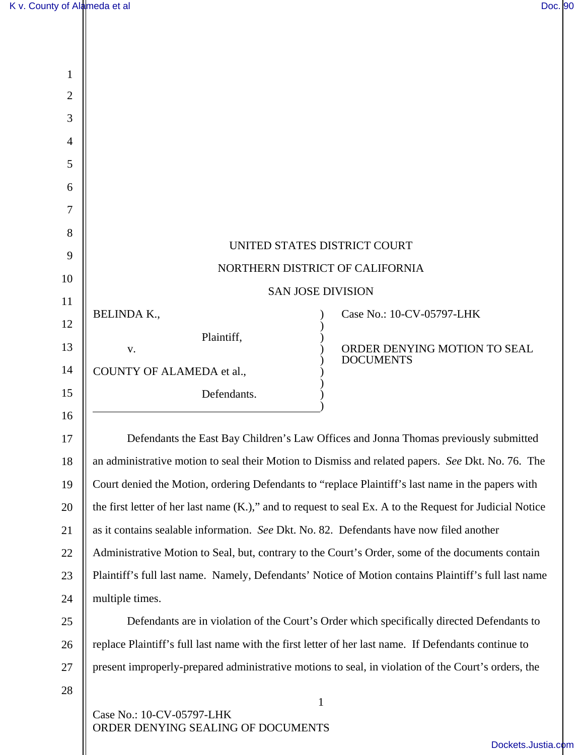| 1  |                                                                                                          |                                                                                                      |
|----|----------------------------------------------------------------------------------------------------------|------------------------------------------------------------------------------------------------------|
| 2  |                                                                                                          |                                                                                                      |
| 3  |                                                                                                          |                                                                                                      |
| 4  |                                                                                                          |                                                                                                      |
| 5  |                                                                                                          |                                                                                                      |
| 6  |                                                                                                          |                                                                                                      |
| 7  |                                                                                                          |                                                                                                      |
| 8  |                                                                                                          |                                                                                                      |
| 9  | UNITED STATES DISTRICT COURT                                                                             |                                                                                                      |
| 10 | NORTHERN DISTRICT OF CALIFORNIA                                                                          |                                                                                                      |
| 11 | <b>SAN JOSE DIVISION</b>                                                                                 |                                                                                                      |
| 12 | <b>BELINDA K.,</b>                                                                                       | Case No.: 10-CV-05797-LHK                                                                            |
| 13 | Plaintiff,<br>V.                                                                                         | ORDER DENYING MOTION TO SEAL                                                                         |
| 14 | COUNTY OF ALAMEDA et al.,                                                                                | <b>DOCUMENTS</b>                                                                                     |
| 15 | Defendants.                                                                                              |                                                                                                      |
| 16 |                                                                                                          |                                                                                                      |
| 17 | Defendants the East Bay Children's Law Offices and Jonna Thomas previously submitted                     |                                                                                                      |
| 18 | an administrative motion to seal their Motion to Dismiss and related papers. See Dkt. No. 76. The        |                                                                                                      |
| 19 | Court denied the Motion, ordering Defendants to "replace Plaintiff's last name in the papers with        |                                                                                                      |
| 20 | the first letter of her last name (K.)," and to request to seal Ex. A to the Request for Judicial Notice |                                                                                                      |
| 21 | as it contains sealable information. See Dkt. No. 82. Defendants have now filed another                  |                                                                                                      |
| 22 | Administrative Motion to Seal, but, contrary to the Court's Order, some of the documents contain         |                                                                                                      |
| 23 |                                                                                                          | Plaintiff's full last name. Namely, Defendants' Notice of Motion contains Plaintiff's full last name |
| 24 | multiple times.                                                                                          |                                                                                                      |
| 25 |                                                                                                          | Defendants are in violation of the Court's Order which specifically directed Defendants to           |
| 26 | replace Plaintiff's full last name with the first letter of her last name. If Defendants continue to     |                                                                                                      |
| 27 | present improperly-prepared administrative motions to seal, in violation of the Court's orders, the      |                                                                                                      |
| 28 |                                                                                                          |                                                                                                      |
|    | Case No.: 10-CV-05797-LHK                                                                                | $\mathbf{1}$                                                                                         |
|    | ORDER DENYING SEALING OF DOCUMENTS                                                                       |                                                                                                      |
|    |                                                                                                          | Dockets.Justia.                                                                                      |